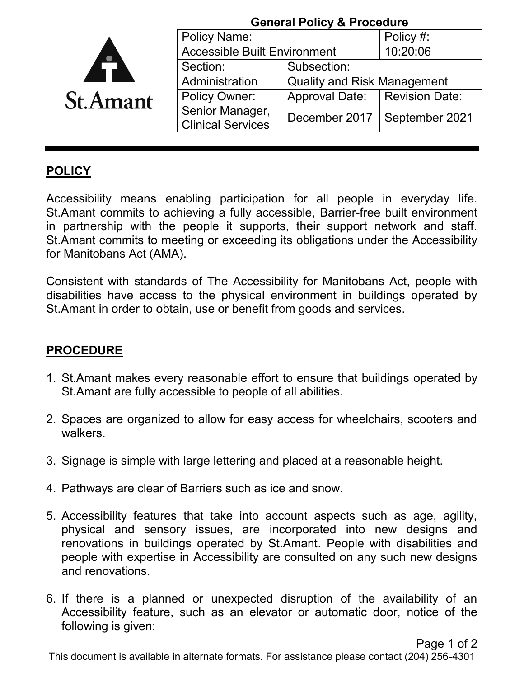|                 |                                             | <b>General Policy &amp; Procedure</b> |                                |
|-----------------|---------------------------------------------|---------------------------------------|--------------------------------|
|                 | <b>Policy Name:</b>                         |                                       | Policy #:                      |
|                 | <b>Accessible Built Environment</b>         |                                       | 10:20:06                       |
|                 | Section:                                    | Subsection:                           |                                |
|                 | Administration                              | <b>Quality and Risk Management</b>    |                                |
| <b>St.Amant</b> | <b>Policy Owner:</b>                        | <b>Approval Date:</b>                 | <b>Revision Date:</b>          |
|                 | Senior Manager,<br><b>Clinical Services</b> |                                       | December 2017   September 2021 |

## **POLICY**

Accessibility means enabling participation for all people in everyday life. St.Amant commits to achieving a fully accessible, Barrier-free built environment in partnership with the people it supports, their support network and staff. St.Amant commits to meeting or exceeding its obligations under the Accessibility for Manitobans Act (AMA).

Consistent with standards of The Accessibility for Manitobans Act, people with disabilities have access to the physical environment in buildings operated by St.Amant in order to obtain, use or benefit from goods and services.

## **PROCEDURE**

- 1. St.Amant makes every reasonable effort to ensure that buildings operated by St.Amant are fully accessible to people of all abilities.
- 2. Spaces are organized to allow for easy access for wheelchairs, scooters and walkers.
- 3. Signage is simple with large lettering and placed at a reasonable height.
- 4. Pathways are clear of Barriers such as ice and snow.
- 5. Accessibility features that take into account aspects such as age, agility, physical and sensory issues, are incorporated into new designs and renovations in buildings operated by St.Amant. People with disabilities and people with expertise in Accessibility are consulted on any such new designs and renovations.
- 6. If there is a planned or unexpected disruption of the availability of an Accessibility feature, such as an elevator or automatic door, notice of the following is given: